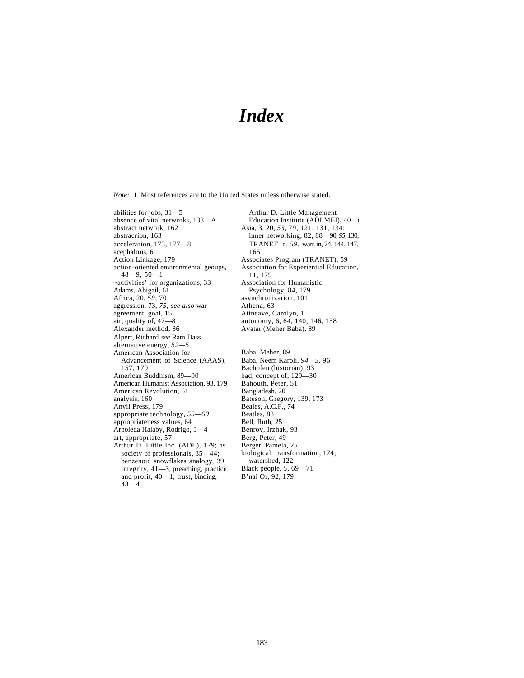## *Index*

*Note:* 1. Most references are to the United States unless otherwise stated.

abilities for jobs, 31—5 absence of vital networks, 133—A abstract network, 162 abstracrion, 163 accelerarion, 173, 177—8 acephalous, 6 Action Linkage, 179 action-oriented environmental geoups, 48—9, 50—1 ~activities' for organizations, 33 Adams, Abigail, 61 Africa, 20, *59,* 70 aggression, 73, *75; see also* war agreement, goal, 15 air, quality of, 47—8 Alexander method, 86 Alpert, Richard *see* Ram Dass alternative energy, *52—5* American Association for Advancement of Science (AAAS), 157, 179 American Buddhism, 89—90 American Humanist Association, 93, 179 American Revolution, 61 analysis, 160 Anvil Press, 179 appropriate technology, *55—60* appropriateness values, 64 Arboleda Halaby, Rodrigo, 3—4 art, appropriate, 57 Arthur D. Little Inc. (ADL), 179; as society of professionals, 35—44; benzenoid snowflakes analogy, 39; integrity, 41—3; preaching, practice and profit, 40—1; trust, binding,  $43 - 4$ 

Arthur D. Little Management Education Institute (ADLMEI), 40—i Asia, 3, 20, *53,* 79, 121, 131, 134; inner networking, 82, 88—90, *95,* 130, TRANET in, *59;* wars in, 74, 144, 147, 165 Associates Program (TRANET), 59 Association for Experiential Education, 11, 179 Association for Humanistic Psychology, 84, 179 asynchronizarion, 101 Athena, 63 Attneave, Carolyn, 1 autonomy, 6, 64, 140, 146, 158 Avatar (Meher Baba), 89 Baba, Meher, 89 Baba, Neem Karoli, *94—5,* 96 Bachofen (historian), 93 bad, concept of, 129—30 Bahouth, Peter, 51 Bangladesh, 20 Bateson, Gregory, 139, 173 Beales, A.C.F., 74 Beatles, 88 Bell, Ruth, 25 Benrov, Irzhak, 93 Berg, Peter, 49 Berger, Pamela, 25 biological: transformation, 174; watershed, 122 Black people, *5,* 69—71 B'nai Or, 92, 179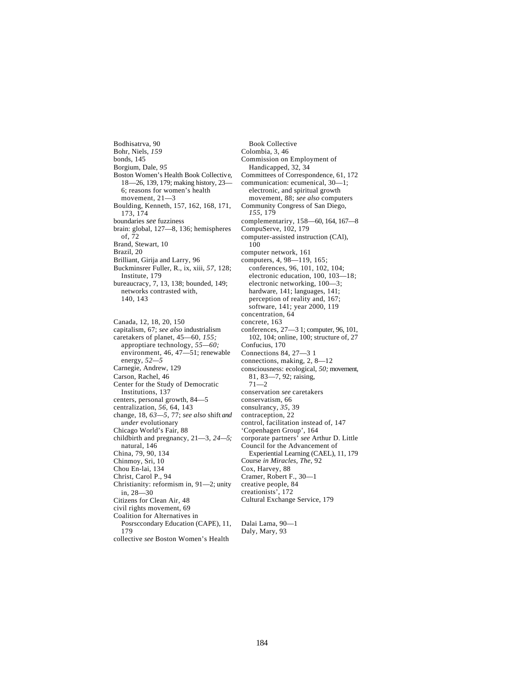Bodhisatrva, 90 Bohr, Niels, *159* bonds, 145 Borgium, Dale, *95* Boston Women's Health Book Collective, 18—26, 139, 179; making history, 23— 6; reasons for women's health movement, 21—3 Boulding, Kenneth, 157, 162, 168, 171, 173, 174 boundaries *see* fuzziness brain: global, 127—8, 136; hemispheres of, 72 Brand, Stewart, 10 Brazil, 20 Brilliant, Girija and Larry, 96 Buckminsrer Fuller, R., ix, xiii, *57,* 128; Institute, 179 bureaucracy, 7, 13, 138; bounded, 149; networks contrasted with, 140, 143

Canada, 12, 18, 20, 150 capitalism, 67; *see also* industrialism caretakers of planet, 45—60, *155;*  approptiare technology, *55—60;*  environment, 46, 47—51; renewable energy, *52—5* Carnegie, Andrew, 129 Carson, Rachel, 46 Center for the Study of Democratic Institutions, 137 centers, personal growth, 84—5 centralization, *56,* 64, 143 change, 18, *63—5,* 77; *see also* shift *and under* evolutionary Chicago World's Fair, 88 childbirth and pregnancy, 21—3, *24—5;*  natural, 146 China, 79, 90, 134 Chinmoy, Sri, 10 Chou En-lai, 134 Christ, Carol P., 94 Christianity: reformism in, 91—2; unity in, 28—30 Citizens for Clean Air, 48 civil rights movement, 69 Coalition for Alternatives in Posrsccondary Education (CAPE), 11, 179

collective *see* Boston Women's Health

Book Collective Colombia, 3, 46 Commission on Employment of Handicapped, 32, 34 Committees of Correspondence, 61, 172 communication: ecumenical, 30—1; electronic, and spiritual growth movement, 88; *see also* computers Community Congress of San Diego, *155,* 179 complementariry, 158—60, 164, 167—8 CompuServe, 102, 179 computer-assisted instruction (CAl), 100 computer network, 161 computers, 4, 98—119, 165; conferences, 96, 101, 102, 104; electronic education, 100, 103—18; electronic networking, 100—3; hardware, 141; languages, 141; perception of reality and, 167; software, 141; year 2000, 119 concentration, 64 concrete, 163 conferences, 27—3 1; computer, 96, 101, 102, 104; online, 100; structure of, 27 Confucius, 170 Connections 84, 27—3 1 connections, making, 2, 8—12 consciousness: ecological, *50;* movement, 81, 83—7, 92; raising,  $71 - 2$ conservation *see* caretakers conservatism, 66 consulrancy, *35,* 39 contraception, 22 control, facilitation instead of, 147 'Copenhagen Group', 164 corporate partners' *see* Arthur D. Little Council for the Advancement of Experiential Learning (CAEL), 11, 179 Course *in Miracles, The,* 92 Cox, Harvey, 88 Cramer, Robert F., 30—1 creative people, 84 creationists', 172 Cultural Exchange Service, 179

Dalai Lama, 90—1 Daly, Mary, 93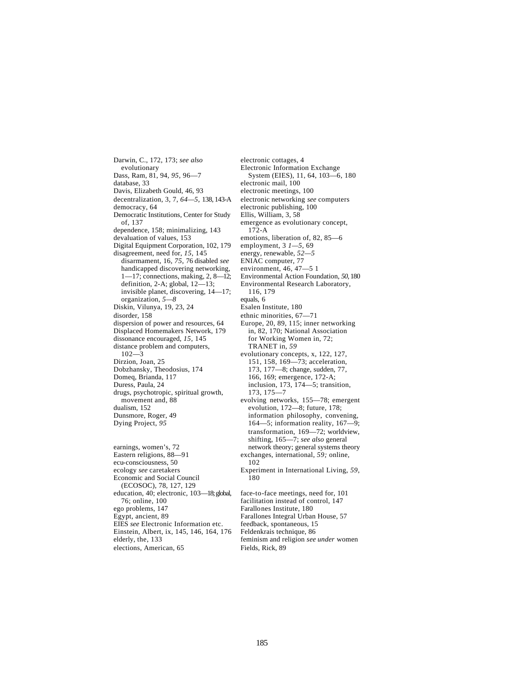Darwin, C., 172, 173; *see also*  evolutionary Dass, Ram, 81, 94, *95,* 96—7 database, 33 Davis, Elizabeth Gould, 46, 93 decentralization, 3, 7, *64—5,* 138, 143-A democracy, 64 Democratic Institutions, Center for Study of, 137 dependence, 158; minimalizing, 143 devaluation of values, 153 Digital Equipment Corporation, 102, 179 disagreement, need for, *15,* 145 disarmament, 16, *75,* 76 disabled *see*  handicapped discovering networking, 1—17; connections, making, 2, 8—12; definition, 2-A; global, 12—13; invisible planet, discovering, 14—17; organization, *5—8* Diskin, Vilunya, 19, 23, 24 disorder, 158 dispersion of power and resources, 64 Displaced Homemakers Network, 179 dissonance encouraged, *15,* 145 distance problem and computers, 102—3 Dirzion, Joan, 25 Dobzhansky, Theodosius, 174 Domeq, Brianda, 117 Duress, Paula, 24 drugs, psychotropic, spiritual growth, movement and, 88 dualism, 152 Dunsmore, Roger, 49 Dying Project, *95* earnings, women's, 72 Eastern religions, 88—91 ecu-consciousness, 50

ecology *see* caretakers Economic and Social Council (ECOSOC), 78, 127, 129 education, 40; electronic, 103—18; global, 76; online, 100 ego problems, 147 Egypt, ancient, 89 EIES *see* Electronic Information etc. Einstein, Albert, ix, 145, 146, 164, 176 elderly, the, 133 elections, American, 65

electronic cottages, 4 Electronic Information Exchange System (EIES), 11, 64, 103—6, 180 electronic mail, 100 electronic meetings, 100 electronic networking *see* computers electronic publishing, 100 Ellis, William, 3, 58 emergence as evolutionary concept, 172-A emotions, liberation of, 82, 85—6 employment, 3 *1—5,* 69 energy, renewable, *52—5* ENIAC computer, 77 environment, 46, 47—5 1 Environmental Action Foundation, *50,* 180 Environmental Research Laboratory, 116, 179 equals, 6 Esalen Institute, 180 ethnic minorities, 67—71 Europe, 20, 89, 115; inner networking in, 82, 170; National Association for Working Women in, 72; TRANET in, *59* evolutionary concepts, x, 122, 127, 151, 158, 169—73; acceleration, 173, 177—8; change, sudden, 77, 166, 169; emergence, 172-A; inclusion, 173, 174—5; transition, 173, 175—7 evolving networks, 155—78; emergent evolution, 172—8; future, 178; information philosophy, convening, 164—5; information reality, 167—9; transformation, 169—72; worldview, shifting, 165—7; *see also* general network theory; general systems theory exchanges, international, *59;* online, 102 Experiment in International Living, *59,*  180

face-to-face meetings, need for, 101 facilitation instead of control, 147 Farallones Institute, 180 Farallones Integral Urban House, 57 feedback, spontaneous, 15 Feldenkrais technique, 86 feminism and religion *see under* women Fields, Rick, 89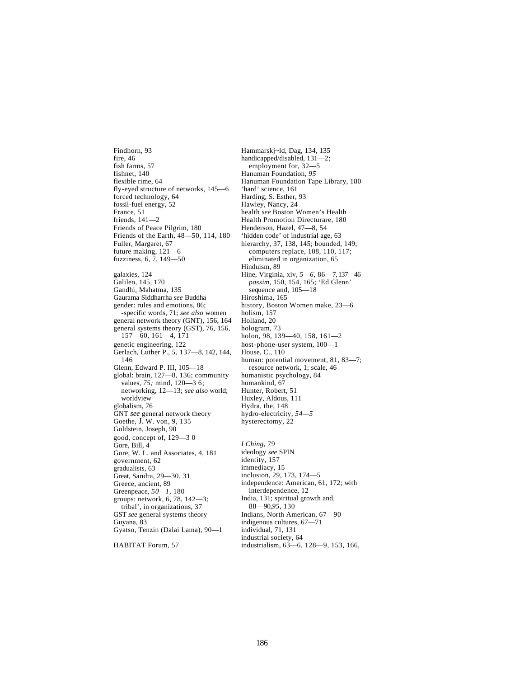Findhorn, 93 fire, 46 fish farms, 57 fishnet, 140 flexible rime, 64 fly-eyed structure of networks, 145—6 forced technology, 64 fossil-fuel energy, 52 France, 51 friends, 141—2 Friends of Peace Pilgrim, 180 Friends of the Earth, 48—50, 114, 180 Fuller, Margaret, 67 future making, 121—6 fuzziness, 6, 7, 149—50 galaxies, 124 Galileo, 145, 170 Gandhi, Mahatma, 135 Gaurama Siddharrha *see* Buddha gender: rules and emotions, 86; -specific words, 71; *see also* women general network theory (GNT), 156, 164 general systems theory (GST), 76, 156, 157—60, 161—4, 171 genetic engineering, 122 Gerlach, Luther P., *5,* 137—8, 142, 144, 146 Glenn, Edward P. III, 105—18 global: brain, 127—8, 136; community values, *75;* mind, 120—3 6; networking, 12—13; *see also* world; worldview globalism, 76 GNT *see* general network theory Goethe, J. W. von, 9, 135 Goldstein, Joseph, 90 good, concept of, 129—3 0 Gore, Bill, 4 Gore, W. L. and Associates, 4, 181 government, 62 gradualists, 63 Great, Sandra, 29—30, 31 Greece, ancient, 89 Greenpeace, *50—1,* 180 groups: network, 6, 78, 142—3; tribal', in organizations, 37 GST *see* general systems theory Guyana, 83 Gyatso, Tenzin (Dalai Lama), 90—1

HABITAT Forum, 57

Hammarskj~ld, Dag, 134, 135 handicapped/disabled, 131—2; employment for, 32—5 Hanuman Foundation, *95* Hanuman Foundation Tape Library, 180 'hard' science, 161 Harding, S. Esther, 93 Hawley, Nancy, 24 health *see* Boston Women's Health Health Promotion Directurare, 180 Henderson, Hazel, 47—8, 54 'hidden code' of industrial age, 63 hierarchy, 37, 138, 145; bounded, 149; computers replace, 108, 110, 117; eliminated in organization, 65 Hinduism, 89 Hine, Virginia, xiv, *5—6,* 86—7, 137—46 *passim,* 150, 154, 165; 'Ed Glenn' sequence and,  $105 - 18$ Hiroshima, 165 history, Boston Women make, 23—6 holism, 157 Holland, 20 hologram, 73 holon, 98, 139—40, 158, 161—2 host-phone-user system, 100—1 House, C., 110 human: potential movement, 81, 83—7; resource network, 1; scale, 46 humanistic psychology, 84 humankind, 67 Hunter, Robert, 51 Huxley, Aldous, 111 Hydra, the, 148 hydro-electricity, *54—5* hysterectomy, 22 *I Ching,* 79 ideology *see* SPIN identity, 157 immediacy, 15 inclusion, 29, 173, 174—5 independence: American, 61, 172; with interdependence, 12 India, 131; spiritual growth and, 88—90,*95,* 130

Indians, North American, 67—90 indigenous cultures, 67—71 individual, 71, 131 industrial society, 64 industrialism, 63—6, 128—9, 153, 166,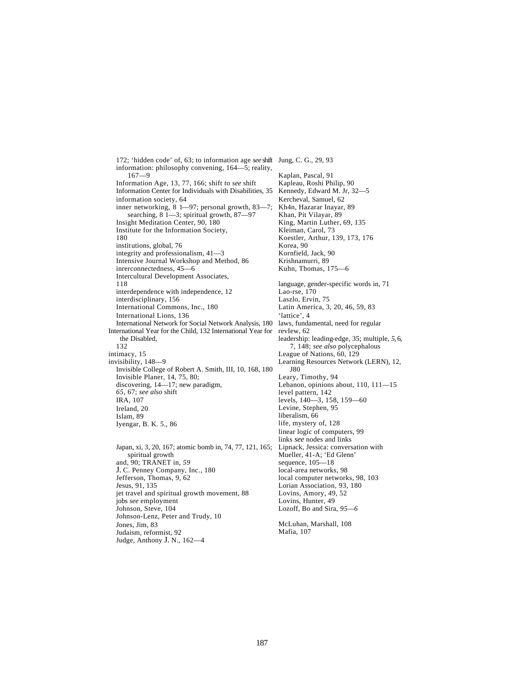172; 'hidden code' of, 63; to information age *see* shift Jung, C. G., 29, 93 information: philosophy convening, 164—5; reality, 167—9 Information Age, 13, 77, 166; shift to *see* shift Information Center for Individuals with Disabilities, 35 information society, 64 inner networking, 8 1—97; personal growth, 83—7; searching, 8 1—3; spiritual growth, 87—97 Insight Meditation Center, 90, 180 Institute for the Information Society, 180 institutions, global, 76 integrity and professionalism, 41—3 Intensive Journal Workshop and Method, 86 inrerconnectedness, 45—6 Intercultural Development Associates, 118 interdependence with independence, 12 interdisciplinary, 156 International Commons, Inc., 180 International Lions, 136 International Network for Social Network Analysis, 180 International Year for the Child, 132 International Year for the Disabled, 132 intimacy, 15 invisibility, 148—9 Invisible College of Robert A. Smith, III, 10, 168, 180 Invisible Planer, 14, 75, 80; discovering, 14—17; new paradigm, *65,* 67; *see also* shift IRA, 107 Ireland, 20 Islam, 89 Iyengar, B. K. 5., 86 Japan, xi, 3, 20, 167; atomic bomb in, 74, 77, 121, 165; spiritual growth and, 90; TRANET in, *59* J. C. Penney Company, Inc., 180 Jefferson, Thomas, 9, 62 Jesus, 91, 135 jet travel and spiritual growth movement, 88 jobs *see* employment Johnson, Steve, 104 Johnson-Lenz, Peter and Trudy, 10

Jones, Jim, 83 Judaism, reformist, 92 Judge, Anthony J. N., 162—4

Kaplan, Pascal, 91 Kapleau, Roshi Philip, 90 Kennedy, Edward M. Jr, 32—5 Kercheval, Samuel, 62 Kh4n, Hazarar Inayar, 89 Khan, Pit Vilayar, 89 King, Martin Luther, 69, 135 Kleiman, Carol, 73 Koestler, Arthur, 139, 173, 176 Korea, 90 Kornfield, Jack, 90 Krishnamurri, 89 Kuhn, Thomas, 175—6 language, gender-specific words in, 71 Lao-rse, 170 Laszlo, Ervin, 75 Latin America, 3, 20, 46, 59, 83 'lattice', 4 laws, fundamental, need for regular revIew, 62 leadership: leading-edge, 35; multiple, *5,* 6, 7, 148; *see also* polycephalous League of Nations, 60, 129 Learning Resources Network (LERN), 12, J80 Leary, Timothy, 94 Lebanon, opinions about, 110, 111—15 level pattern, 142 levels, 140—3, 158, 159—60 Levine, Stephen, 95 liberalism, 66 life, mystery of, 128 linear logic of computers, 99 links *see* nodes and links Lipnack, Jessica: conversation with Mueller, 41-A; 'Ed Glenn' sequence, 105—18 local-area networks, 98 local computer networks, 98, 103 Lorian Association, 93, 180 Lovins, Amory, 49, 52 Lovins, Hunter, 49 Lozoff, Bo and Sira, *95—6*

McLuhan, Marshall, 108 Mafia, 107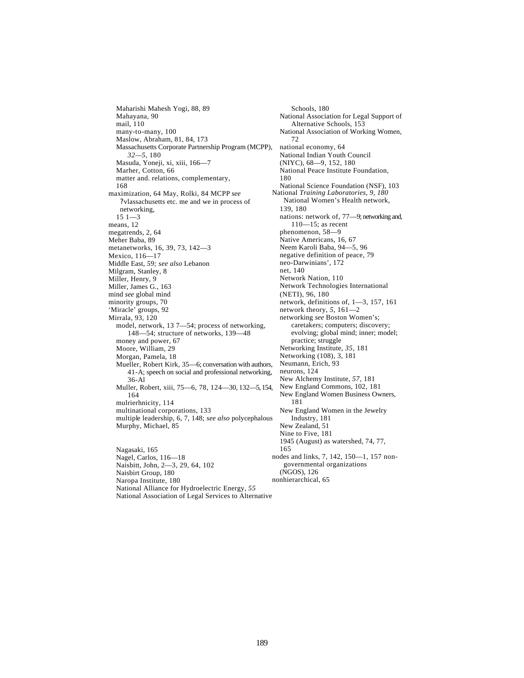Maharishi Mahesh Yogi, 88, 89 Mahayana, 90 mail, 110 many-to-many, 100 Maslow, Abraham, 81, 84, 173 Massachusetts Corporate Partnership Program (MCPP), *32—5,* 180 Masuda, Yoneji, xi, xiii, 166—7 Marher, Cotton, 66 matter and. relations, complementary, 168 maximization, 64 May, Rolki, 84 MCPP *see*  ?vlassachusetts etc. me and we in process of networking, 15 1—3 means, 12 megatrends, 2, 64 Meher Baba, 89 metanetworks, 16, 39, 73, 142—3 Mexico, 116—17 Middle East, *59; see also* Lebanon Milgram, Stanley, 8 Miller, Henry, 9 Miller, James G., 163 mind *see* global mind minority groups, 70 'Miracle' groups, 92 Mirrala, 93, 120 model, network, 13 7—54; process of networking, 148—54; structure of networks, 139—48 money and power, 67 Moore, William, 29 Morgan, Pamela, 18 Mueller, Robert Kirk, 35—6; conversation with authors, 41-A; speech on social and professional networking, 36-Al Muller, Robert, xiii, 75—6, 78, 124—30, 132—5, 154, 164 mulrierhnicity, 114 multinational corporations, 133 multiple leadership, 6, 7, 148; *see also* polycephalous Murphy, Michael, 85 Nagasaki, 165

Nagel, Carlos, 116—18 Naisbitt, John, 2—3, 29, 64, 102 Naisbirt Group, 180 Naropa Institute, 180 National Alliance for Hydroelectric Energy, *55* National Association of Legal Services to Alternative

Schools, 180 National Association for Legal Support of Alternative Schools, 153 National Association of Working Women, 72 national economy, 64 National Indian Youth Council (NIYC), 68—9, 152, 180 National Peace Institute Foundation, 180 National Science Foundation (NSF), 103 National *Training Laboratories, 9, 180*  National Women's Health network, 139, 180 nations: network of, 77—9; networking and, 110—15; as recent phenomenon, 58—9 Native Americans, 16, 67 Neem Karoli Baba, 94—5, 96 negative definition of peace, 79 neo-Darwinians', 172 net, 140 Network Nation, 110 Network Technologies International (NETI), 96, 180 network, definitions of, 1—3, 157, 161 network theory, *5,* 161—2 networking *see* Boston Women's; caretakers; computers; discovery; evolving; global mind; inner; model; practice; struggle Networking Institute, *35,* 181 Networking (108), 3, 181 Neumann, Erich, 93 neurons, 124 New Alchemy Institute, *57,* 181 New England Commons, 102, 181 New England Women Business Owners, 181 New England Women in the Jewelry Industry, 181 New Zealand, 51 Nine to Five, 181 1945 (August) as watershed, 74, 77, 165 nodes and links, 7, 142, 150—1, 157 nongovernmental organizations (NGOS), 126 nonhierarchical, 65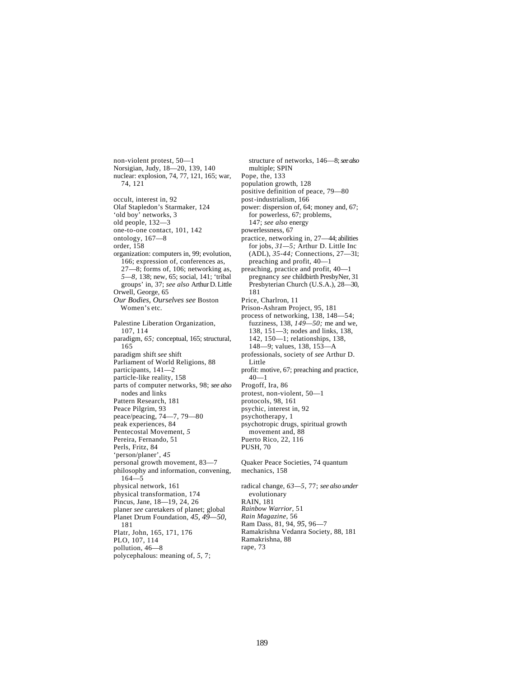non-violent protest, 50—1 Norsigian, Judy, 18—20, 139, 140 nuclear: explosion, 74, 77, 121, 165; war, 74, 121 occult, interest in, 92 Olaf Stapledon's Starmaker, 124 'old boy' networks, 3 old people, 132—3 one-to-one contact, 101, 142 ontology, 167—8 order, 158 organization: computers in, 99; evolution, 166; expression of, conferences as, 27—8; forms of, 106; networking as, *5—8,* 138; new, 65; social, 141; 'tribal groups' in, 37; *see also* Arthur D. Little Orwell, George, 65 *Our Bodies, Ourselves see* Boston Women's etc. Palestine Liberation Organization, 107, 114 paradigm, *65;* conceptual, 165; structural, 165 paradigm shift *see* shift Parliament of World Religions, 88 participants, 141—2 particle-like reality, 158 parts of computer networks, 98; *see also*  nodes and links Pattern Research, 181 Peace Pilgrim, 93 peace/peacing, 74—7, 79—80 peak experiences, 84 Pentecostal Movement, *5* Pereira, Fernando, 51 Perls, Fritz, 84 'person/planer', *45* personal growth movement, 83—7 philosophy and information, convening, 164—5 physical network, 161 physical transformation, 174 Pincus, Jane, 18—19, 24, 26 planer *see* caretakers of planet; global Planet Drum Foundation, *45, 49—50,*  181 Platr, John, 165, 171, 176 PLO, 107, 114 pollution, 46—8 polycephalous: meaning of, *5,* 7;

structure of networks, 146—8; *see also*  multiple; SPIN Pope, the, 133 population growth, 128 positive definition of peace, 79—80 post-industrialism, 166 power: dispersion of, 64; money and, 67; for powerless, 67; problems, 147; *see also* energy powerlessness, 67 practice, networking in, 27—44; abilities for jobs, *31—5;* Arthur D. Little Inc (ADL), *35-44;* Connections, 27—31; preaching and profit, 40—1 preaching, practice and profit, 40—1 pregnancy *see* childbirth PresbyNer, 31 Presbyterian Church (U.S.A.), 28—30, 181 Price, Charlron, 11 Prison-Ashram Project, 95, 181 process of networking, 138, 148—54; fuzziness, 138, *149—50;* me and we, 138, 151—3; nodes and links, 138, 142, 150—1; relationships, 138, 148—9; values, 138, 153—A professionals, society of *see* Arthur D. Little profit: motive, 67; preaching and practice, 40—1 Progoff, Ira, 86 protest, non-violent, 50—1 protocols, 98, 161 psychic, interest in, 92 psychotherapy, 1 psychotropic drugs, spiritual growth movement and, 88 Puerto Rico, 22, 116 PUSH, 70 Quaker Peace Societies, 74 quantum mechanics, 158 radical change, *63—5,* 77; *see also under*  evolutionary RAIN, 181 *Rainbow Warrior,* 51 *Rain Magazine,* 56 Ram Dass, 81, 94, *95,* 96—7 Ramakrishna Vedanra Society, 88, 181 Ramakrishna, 88 rape, 73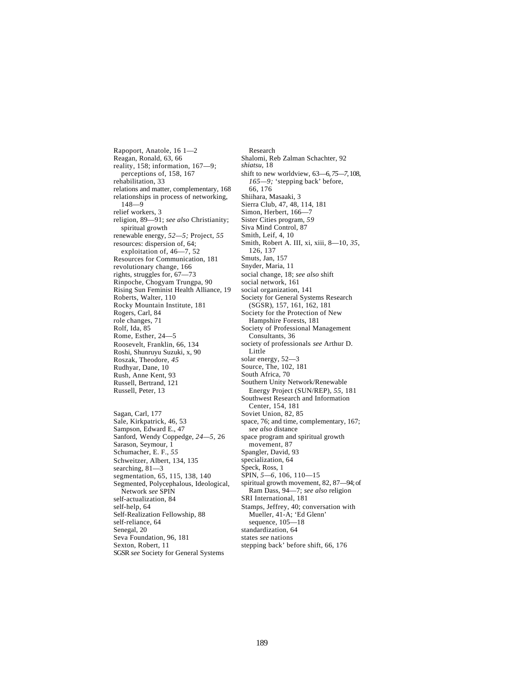Rapoport, Anatole, 16 1—2 Reagan, Ronald, 63, 66 reality, 158; information, 167—9; perceptions of, 158, 167 rehabilitation, 33 relations and matter, complementary, 168 relationships in process of networking, 148—9 relief workers, 3 religion, 89—91; *see also* Christianity; spiritual growth renewable energy, *52—5;* Project, *55* resources: dispersion of, 64; exploitation of, 46—7, 52 Resources for Communication, 181 revolutionary change, 166 rights, struggles for, 67—73 Rinpoche, Chogyam Trungpa, 90 Rising Sun Feminist Health Alliance, 19 Roberts, Walter, 110 Rocky Mountain Institute, 181 Rogers, Carl, 84 role changes, 71 Rolf, Ida, 85 Rome, Esther, 24—5 Roosevelt, Franklin, 66, 134 Roshi, Shunruyu Suzuki, x, 90 Roszak, Theodore, *45* Rudhyar, Dane, 10 Rush, Anne Kent, 93 Russell, Bertrand, 121 Russell, Peter, 13 Sagan, Carl, 177 Sale, Kirkpatrick, 46, 53 Sampson, Edward E., 47 Sanford, Wendy Coppedge, *24—5,* 26 Sarason, Seymour, 1 Schumacher, E. F., *55* Schweitzer, Albert, 134, 135 searching, 81—3 segmentation, 65, 115, 138, 140 Segmented, Polycephalous, Ideological, Network *see* SPIN self-actualization, 84 self-help, 64 Self-Realization Fellowship, 88 self-reliance, 64 Senegal, 20

Seva Foundation, 96, 181 Sexton, Robert, 11

SGSR *see* Society for General Systems

Research Shalomi, Reb Zalman Schachter, 92 *shiatsu,* 18 shift to new worldview, 63—6, *75—7,* 108, *165—9;* 'stepping back' before, 66, 176 Shiihara, Masaaki, 3 Sierra Club, 47, 48, 114, 181 Simon, Herbert, 166—7 Sister Cities program, *59* Siva Mind Control, 87 Smith, Leif, 4, 10 Smith, Robert A. III, xi, xiii, 8—10, *35,*  126, 137 Smuts, Jan, 157 Snyder, Maria, 11 social change, 18; *see also* shift social network, 161 social organization, 141 Society for General Systems Research (SGSR), 157, 161, 162, 181 Society for the Protection of New Hampshire Forests, 181 Society of Professional Management Consultants, 36 society of professionals *see* Arthur D. Little solar energy, 52—3 Source, The, 102, 181 South Africa, 70 Southern Unity Network/Renewable Energy Project (SUN/REP), *55,* 181 Southwest Research and Information Center, 154, 181 Soviet Union, 82, 85 space, 76; and time, complementary, 167; *see also* distance space program and spiritual growth movement, 87 Spangler, David, 93 specialization, 64 Speck, Ross, 1 SPIN, *5—6,* 106, 110—15 spiritual growth movement, 82, 87—94; of Ram Dass, 94—7; *see also* religion SRI International, 181 Stamps, Jeffrey, 40; conversation with Mueller, 41-A; 'Ed Glenn' sequence, 105—18 standardization, 64 states *see* nations stepping back' before shift, 66, 176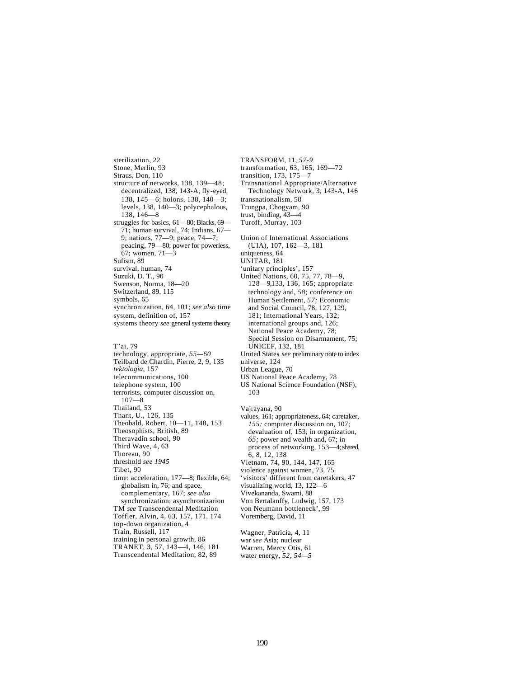sterilization, 22 Stone, Merlin, 93 Straus, Don, 110 structure of networks, 138, 139—48; decentralized, 138, 143-A; fly-eyed, 138, 145—6; holons, 138, 140—3; levels, 138, 140—3; polycephalous, 138, 146—8 struggles for basics, 61—80; Blacks, 69— 71; human survival, 74; Indians, 67— 9; nations, 77—9; peace, 74—7; peacing, 79—80; power for powerless, 67; women, 71—3 Sufism, 89 survival, human, 74 Suzuki, D. T., 90 Swenson, Norma, 18—20 Switzerland, 89, 115 symbols, 65 synchronization, 64, 101; *see also* time system, definition of, 157 systems theory *see* general systems theory

T'ai, 79 technology, appropriate, *55—60* Teilbard de Chardin, Pierre, 2, 9, 135 *tektologia,* 157 telecommunications, 100 telephone system, 100 terrorists, computer discussion on, 107—8 Thailand, 53 Thant, U., 126, 135 Theobald, Robert, 10—11, 148, 153 Theosophists, British, 89 Theravadin school, 90 Third Wave, 4, 63 Thoreau, 90 threshold *see 1945* Tibet, 90 time: acceleration, 177—8; flexible, 64; globalism in, 76; and space, complementary, 167; *see also*  synchronization; asynchronizarion TM *see* Transcendental Meditation Toffler, Alvin, 4, 63, 157, 171, 174 top-down organization, 4 Train, Russell, 117 training in personal growth, 86 TRANET, 3, 57, 143—4, 146, 181

Transcendental Meditation, 82, 89

TRANSFORM, 11, *57-9* transformation, 63, 165, 169—72 transition, 173, 175—7 Transnational Appropriate/Alternative Technology Network, 3, 143-A, 146 transnationalism, 58 Trungpa, Chogyam, 90 trust, binding, 43—4 Turoff, Murray, 103 Union of International Associations (UIA), 107, 162—3, 181 uniqueness, 64 UNITAR, 181 'unitary principles', 157 United Nations, 60, 75, 77, 78—9, 128—9,133, 136, 165; appropriate technology and, *58;* conference on Human Settlement, *57;* Economic and Social Council, 78, 127, 129, 181; International Years, 132; international groups and, 126; National Peace Academy, 78; Special Session on Disarmament, 75; UNICEF, 132, 181 United States *see* preliminary note to index universe, 124 Urban League, 70 US National Peace Academy, 78 US National Science Foundation (NSF), 103 Vajrayana, 90 values, 161; appropriateness, 64; caretaker, *155;* computer discussion on, 107; devaluation of, 153; in organization,

*65;* power and wealth and, 67; in process of networking, 153—4; shared, 6, 8, 12, 138 Vietnam, 74, 90, 144, 147, 165 violence against women, 73, 75 'visitors' different from caretakers, 47 visualizing world, 13, 122—6 Vivekananda, Swami, 88 Von Bertalanffy, Ludwig, 157, 173 von Neumann bottleneck', 99 Voremberg, David, 11

Wagner, Patricia, 4, 11 war *see* Asia; nuclear Warren, Mercy Otis, 61 water energy, *52, 54—5*